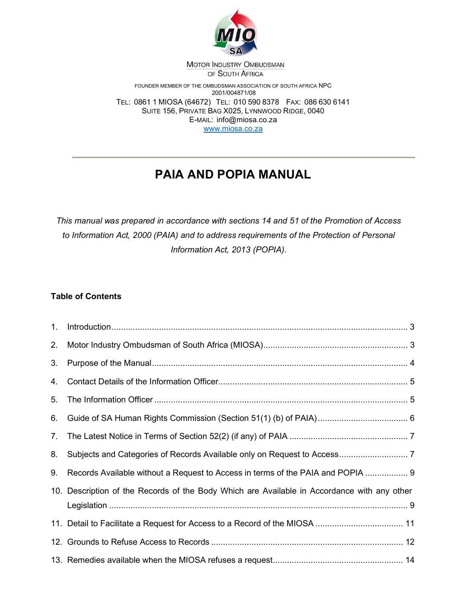

MOTOR INDUSTRY OMBUDSMAN OF SOUTH AFRICA

FOUNDER MEMBER OF THE OMBUDSMAN ASSOCIATION OF SOUTH AFRICA NPC 2001/004871/08 TEL: 0861 1 MIOSA (64672) TEL: 010 590 8378 FAX: 086 630 6141 SUITE 156, PRIVATE BAG X025, LYNNWOOD RIDGE, 0040 E-MAIL: info@miosa.co.za www.miosa.co.za

# PAIA AND POPIA MANUAL

This manual was prepared in accordance with sections 14 and 51 of the Promotion of Access to Information Act, 2000 (PAIA) and to address requirements of the Protection of Personal Information Act, 2013 (POPIA).

## Table of Contents

| 1. |                                                                                             |  |
|----|---------------------------------------------------------------------------------------------|--|
| 2. |                                                                                             |  |
| 3. |                                                                                             |  |
| 4. |                                                                                             |  |
| 5. |                                                                                             |  |
| 6. |                                                                                             |  |
| 7. |                                                                                             |  |
| 8. |                                                                                             |  |
| 9. | Records Available without a Request to Access in terms of the PAIA and POPIA  9             |  |
|    | 10. Description of the Records of the Body Which are Available in Accordance with any other |  |
|    |                                                                                             |  |
|    |                                                                                             |  |
|    |                                                                                             |  |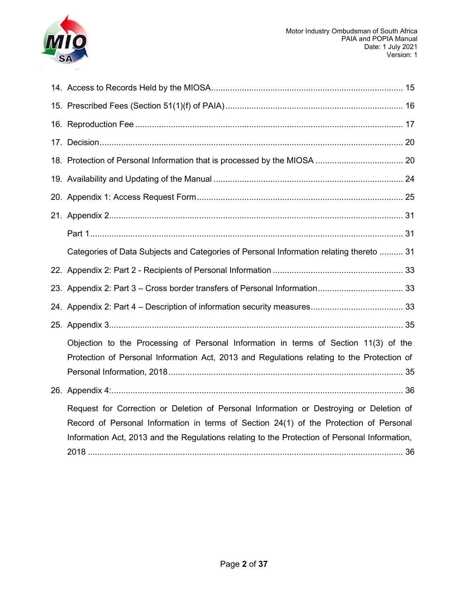

| Categories of Data Subjects and Categories of Personal Information relating thereto  31                                                                                                                                                                                            |  |
|------------------------------------------------------------------------------------------------------------------------------------------------------------------------------------------------------------------------------------------------------------------------------------|--|
|                                                                                                                                                                                                                                                                                    |  |
|                                                                                                                                                                                                                                                                                    |  |
|                                                                                                                                                                                                                                                                                    |  |
|                                                                                                                                                                                                                                                                                    |  |
| Objection to the Processing of Personal Information in terms of Section 11(3) of the<br>Protection of Personal Information Act, 2013 and Regulations relating to the Protection of                                                                                                 |  |
|                                                                                                                                                                                                                                                                                    |  |
| Request for Correction or Deletion of Personal Information or Destroying or Deletion of<br>Record of Personal Information in terms of Section 24(1) of the Protection of Personal<br>Information Act, 2013 and the Regulations relating to the Protection of Personal Information, |  |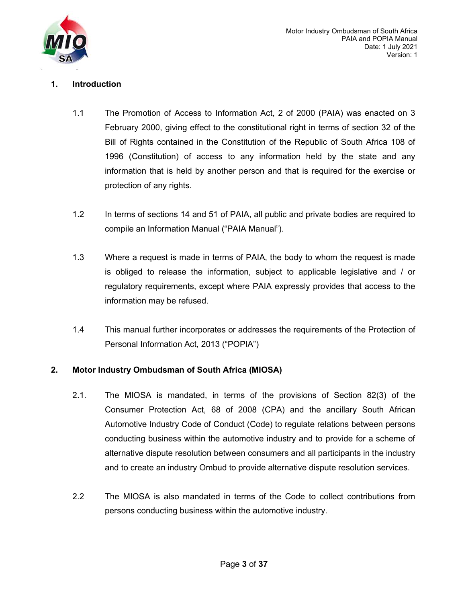

## 1. Introduction

- 1.1 The Promotion of Access to Information Act, 2 of 2000 (PAIA) was enacted on 3 February 2000, giving effect to the constitutional right in terms of section 32 of the Bill of Rights contained in the Constitution of the Republic of South Africa 108 of 1996 (Constitution) of access to any information held by the state and any information that is held by another person and that is required for the exercise or protection of any rights.
- 1.2 In terms of sections 14 and 51 of PAIA, all public and private bodies are required to compile an Information Manual ("PAIA Manual").
- 1.3 Where a request is made in terms of PAIA, the body to whom the request is made is obliged to release the information, subject to applicable legislative and / or regulatory requirements, except where PAIA expressly provides that access to the information may be refused.
- 1.4 This manual further incorporates or addresses the requirements of the Protection of Personal Information Act, 2013 ("POPIA")

## 2. Motor Industry Ombudsman of South Africa (MIOSA)

- 2.1. The MIOSA is mandated, in terms of the provisions of Section 82(3) of the Consumer Protection Act, 68 of 2008 (CPA) and the ancillary South African Automotive Industry Code of Conduct (Code) to regulate relations between persons conducting business within the automotive industry and to provide for a scheme of alternative dispute resolution between consumers and all participants in the industry and to create an industry Ombud to provide alternative dispute resolution services.
- 2.2 The MIOSA is also mandated in terms of the Code to collect contributions from persons conducting business within the automotive industry.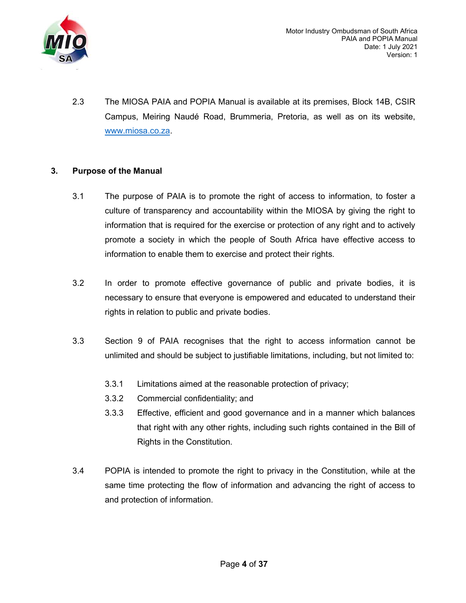

2.3 The MIOSA PAIA and POPIA Manual is available at its premises, Block 14B, CSIR Campus, Meiring Naudé Road, Brummeria, Pretoria, as well as on its website, www.miosa.co.za.

## 3. Purpose of the Manual

- 3.1 The purpose of PAIA is to promote the right of access to information, to foster a culture of transparency and accountability within the MIOSA by giving the right to information that is required for the exercise or protection of any right and to actively promote a society in which the people of South Africa have effective access to information to enable them to exercise and protect their rights.
- 3.2 In order to promote effective governance of public and private bodies, it is necessary to ensure that everyone is empowered and educated to understand their rights in relation to public and private bodies.
- 3.3 Section 9 of PAIA recognises that the right to access information cannot be unlimited and should be subject to justifiable limitations, including, but not limited to:
	- 3.3.1 Limitations aimed at the reasonable protection of privacy;
	- 3.3.2 Commercial confidentiality; and
	- 3.3.3 Effective, efficient and good governance and in a manner which balances that right with any other rights, including such rights contained in the Bill of Rights in the Constitution.
- 3.4 POPIA is intended to promote the right to privacy in the Constitution, while at the same time protecting the flow of information and advancing the right of access to and protection of information.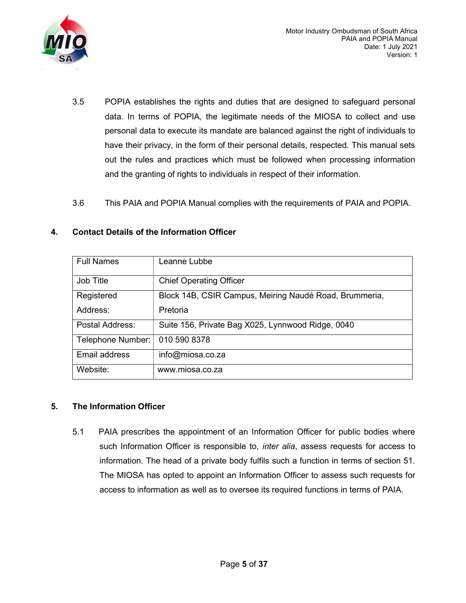

- 3.5 POPIA establishes the rights and duties that are designed to safeguard personal data. In terms of POPIA, the legitimate needs of the MIOSA to collect and use personal data to execute its mandate are balanced against the right of individuals to have their privacy, in the form of their personal details, respected. This manual sets out the rules and practices which must be followed when processing information and the granting of rights to individuals in respect of their information.
- 3.6 This PAIA and POPIA Manual complies with the requirements of PAIA and POPIA.

### 4. Contact Details of the Information Officer

| <b>Full Names</b> | Leanne Lubbe                                           |
|-------------------|--------------------------------------------------------|
| Job Title         | <b>Chief Operating Officer</b>                         |
| Registered        | Block 14B, CSIR Campus, Meiring Naudé Road, Brummeria, |
| Address:          | Pretoria                                               |
| Postal Address:   | Suite 156, Private Bag X025, Lynnwood Ridge, 0040      |
| Telephone Number: | 010 590 8378                                           |
| Email address     | info@miosa.co.za                                       |
| Website:          | www.miosa.co.za                                        |

## 5. The Information Officer

5.1 PAIA prescribes the appointment of an Information Officer for public bodies where such Information Officer is responsible to, *inter alia*, assess requests for access to information. The head of a private body fulfils such a function in terms of section 51. The MIOSA has opted to appoint an Information Officer to assess such requests for access to information as well as to oversee its required functions in terms of PAIA.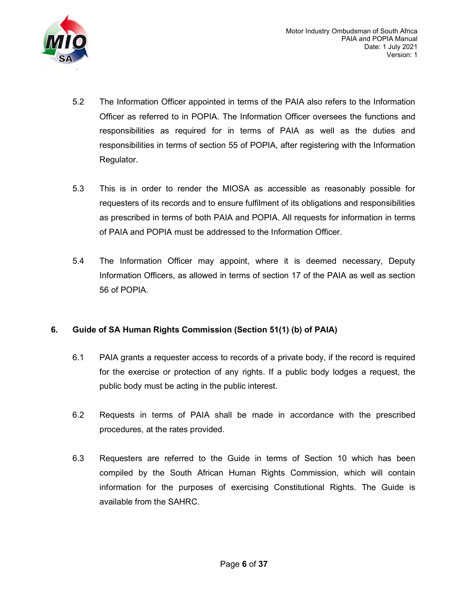

- 5.2 The Information Officer appointed in terms of the PAIA also refers to the Information Officer as referred to in POPIA. The Information Officer oversees the functions and responsibilities as required for in terms of PAIA as well as the duties and responsibilities in terms of section 55 of POPIA, after registering with the Information Regulator.
- 5.3 This is in order to render the MIOSA as accessible as reasonably possible for requesters of its records and to ensure fulfilment of its obligations and responsibilities as prescribed in terms of both PAIA and POPIA. All requests for information in terms of PAIA and POPIA must be addressed to the Information Officer.
- 5.4 The Information Officer may appoint, where it is deemed necessary, Deputy Information Officers, as allowed in terms of section 17 of the PAIA as well as section 56 of POPIA.

## 6. Guide of SA Human Rights Commission (Section 51(1) (b) of PAIA)

- 6.1 PAIA grants a requester access to records of a private body, if the record is required for the exercise or protection of any rights. If a public body lodges a request, the public body must be acting in the public interest.
- 6.2 Requests in terms of PAIA shall be made in accordance with the prescribed procedures, at the rates provided.
- 6.3 Requesters are referred to the Guide in terms of Section 10 which has been compiled by the South African Human Rights Commission, which will contain information for the purposes of exercising Constitutional Rights. The Guide is available from the SAHRC.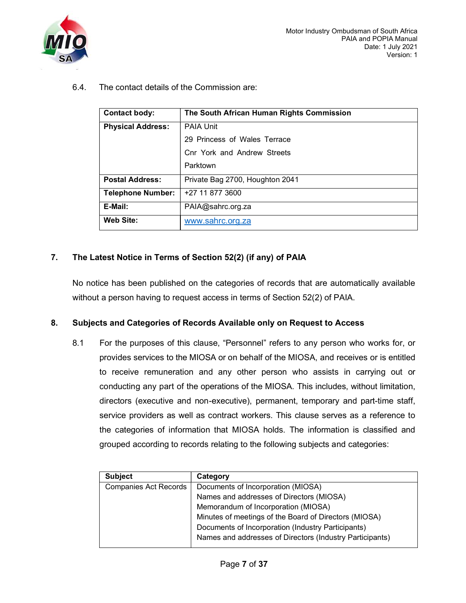

6.4. The contact details of the Commission are:

| <b>Contact body:</b>     | The South African Human Rights Commission |
|--------------------------|-------------------------------------------|
| <b>Physical Address:</b> | <b>PAIA Unit</b>                          |
|                          | 29 Princess of Wales Terrace              |
|                          | Cnr York and Andrew Streets               |
|                          | Parktown                                  |
| <b>Postal Address:</b>   | Private Bag 2700, Houghton 2041           |
| <b>Telephone Number:</b> | +27 11 877 3600                           |
| E-Mail:                  | PAIA@sahrc.org.za                         |
| <b>Web Site:</b>         | www.sahrc.org.za                          |

## 7. The Latest Notice in Terms of Section 52(2) (if any) of PAIA

No notice has been published on the categories of records that are automatically available without a person having to request access in terms of Section 52(2) of PAIA.

### 8. Subjects and Categories of Records Available only on Request to Access

8.1 For the purposes of this clause, "Personnel" refers to any person who works for, or provides services to the MIOSA or on behalf of the MIOSA, and receives or is entitled to receive remuneration and any other person who assists in carrying out or conducting any part of the operations of the MIOSA. This includes, without limitation, directors (executive and non-executive), permanent, temporary and part-time staff, service providers as well as contract workers. This clause serves as a reference to the categories of information that MIOSA holds. The information is classified and grouped according to records relating to the following subjects and categories:

| <b>Subject</b>               | Category                                                 |
|------------------------------|----------------------------------------------------------|
| <b>Companies Act Records</b> | Documents of Incorporation (MIOSA)                       |
|                              | Names and addresses of Directors (MIOSA)                 |
|                              | Memorandum of Incorporation (MIOSA)                      |
|                              | Minutes of meetings of the Board of Directors (MIOSA)    |
|                              | Documents of Incorporation (Industry Participants)       |
|                              | Names and addresses of Directors (Industry Participants) |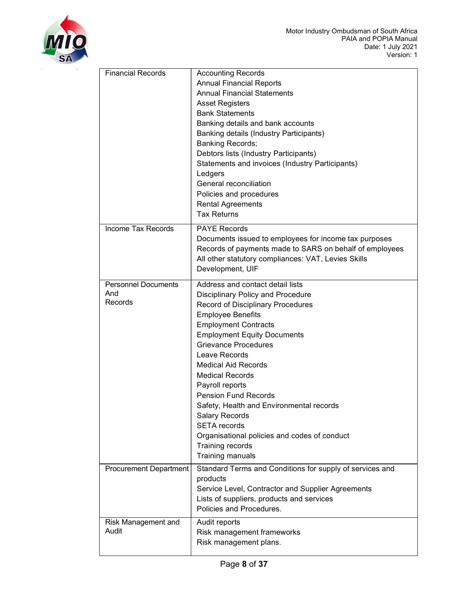

| <b>Financial Records</b>                     | <b>Accounting Records</b><br><b>Annual Financial Reports</b><br><b>Annual Financial Statements</b><br><b>Asset Registers</b><br><b>Bank Statements</b><br>Banking details and bank accounts<br>Banking details (Industry Participants)<br><b>Banking Records;</b><br>Debtors lists (Industry Participants)<br>Statements and invoices (Industry Participants)<br>Ledgers                                                                                                                                                                                         |
|----------------------------------------------|------------------------------------------------------------------------------------------------------------------------------------------------------------------------------------------------------------------------------------------------------------------------------------------------------------------------------------------------------------------------------------------------------------------------------------------------------------------------------------------------------------------------------------------------------------------|
|                                              | General reconciliation<br>Policies and procedures<br><b>Rental Agreements</b><br><b>Tax Returns</b>                                                                                                                                                                                                                                                                                                                                                                                                                                                              |
| Income Tax Records                           | <b>PAYE Records</b><br>Documents issued to employees for income tax purposes<br>Records of payments made to SARS on behalf of employees<br>All other statutory compliances: VAT, Levies Skills<br>Development, UIF                                                                                                                                                                                                                                                                                                                                               |
| <b>Personnel Documents</b><br>And<br>Records | Address and contact detail lists<br><b>Disciplinary Policy and Procedure</b><br>Record of Disciplinary Procedures<br><b>Employee Benefits</b><br><b>Employment Contracts</b><br><b>Employment Equity Documents</b><br><b>Grievance Procedures</b><br>Leave Records<br><b>Medical Aid Records</b><br><b>Medical Records</b><br>Payroll reports<br><b>Pension Fund Records</b><br>Safety, Health and Environmental records<br><b>Salary Records</b><br><b>SETA</b> records<br>Organisational policies and codes of conduct<br>Training records<br>Training manuals |
| <b>Procurement Department</b>                | Standard Terms and Conditions for supply of services and<br>products<br>Service Level, Contractor and Supplier Agreements<br>Lists of suppliers, products and services<br>Policies and Procedures.                                                                                                                                                                                                                                                                                                                                                               |
| Risk Management and<br>Audit                 | Audit reports<br>Risk management frameworks<br>Risk management plans.                                                                                                                                                                                                                                                                                                                                                                                                                                                                                            |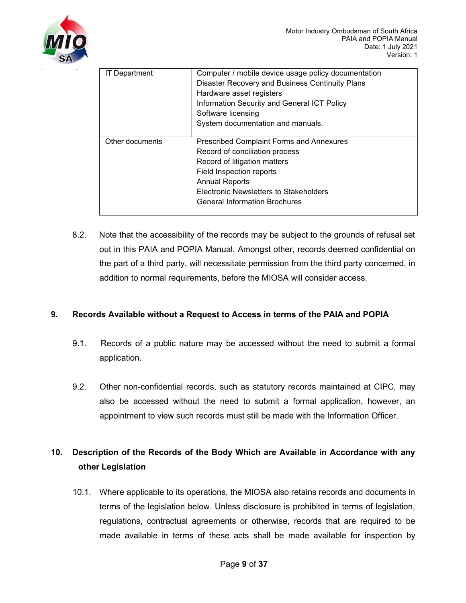

| <b>IT Department</b> | Computer / mobile device usage policy documentation |  |  |  |  |  |  |
|----------------------|-----------------------------------------------------|--|--|--|--|--|--|
|                      | Disaster Recovery and Business Continuity Plans     |  |  |  |  |  |  |
|                      | Hardware asset registers                            |  |  |  |  |  |  |
|                      | Information Security and General ICT Policy         |  |  |  |  |  |  |
|                      | Software licensing                                  |  |  |  |  |  |  |
|                      | System documentation and manuals.                   |  |  |  |  |  |  |
|                      |                                                     |  |  |  |  |  |  |
| Other documents      | <b>Prescribed Complaint Forms and Annexures</b>     |  |  |  |  |  |  |
|                      | Record of conciliation process                      |  |  |  |  |  |  |
|                      | Record of litigation matters                        |  |  |  |  |  |  |
|                      | Field Inspection reports                            |  |  |  |  |  |  |
|                      | <b>Annual Reports</b>                               |  |  |  |  |  |  |
|                      | Electronic Newsletters to Stakeholders              |  |  |  |  |  |  |
|                      | <b>General Information Brochures</b>                |  |  |  |  |  |  |
|                      |                                                     |  |  |  |  |  |  |

8.2. Note that the accessibility of the records may be subject to the grounds of refusal set out in this PAIA and POPIA Manual. Amongst other, records deemed confidential on the part of a third party, will necessitate permission from the third party concerned, in addition to normal requirements, before the MIOSA will consider access.

## 9. Records Available without a Request to Access in terms of the PAIA and POPIA

- 9.1. Records of a public nature may be accessed without the need to submit a formal application.
- 9.2. Other non-confidential records, such as statutory records maintained at CIPC, may also be accessed without the need to submit a formal application, however, an appointment to view such records must still be made with the Information Officer.

## 10. Description of the Records of the Body Which are Available in Accordance with any other Legislation

10.1. Where applicable to its operations, the MIOSA also retains records and documents in terms of the legislation below. Unless disclosure is prohibited in terms of legislation, regulations, contractual agreements or otherwise, records that are required to be made available in terms of these acts shall be made available for inspection by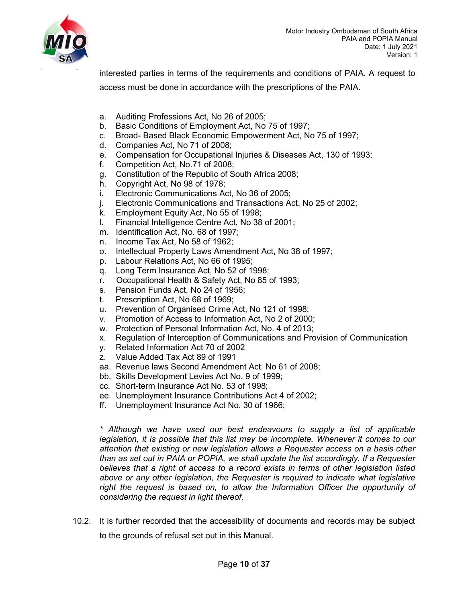

interested parties in terms of the requirements and conditions of PAIA. A request to access must be done in accordance with the prescriptions of the PAIA.

- a. Auditing Professions Act, No 26 of 2005;
- b. Basic Conditions of Employment Act, No 75 of 1997;
- c. Broad- Based Black Economic Empowerment Act, No 75 of 1997;
- d. Companies Act, No 71 of 2008;
- e. Compensation for Occupational Injuries & Diseases Act, 130 of 1993;
- f. Competition Act, No.71 of 2008;
- g. Constitution of the Republic of South Africa 2008;
- h. Copyright Act, No 98 of 1978;
- i. Electronic Communications Act, No 36 of 2005;
- j. Electronic Communications and Transactions Act, No 25 of 2002;
- k. Employment Equity Act, No 55 of 1998;
- l. Financial Intelligence Centre Act, No 38 of 2001;
- m. Identification Act, No. 68 of 1997;
- n. Income Tax Act, No 58 of 1962;
- o. Intellectual Property Laws Amendment Act, No 38 of 1997;
- p. Labour Relations Act, No 66 of 1995;
- q. Long Term Insurance Act, No 52 of 1998;
- r. Occupational Health & Safety Act, No 85 of 1993;
- s. Pension Funds Act, No 24 of 1956;
- t. Prescription Act, No 68 of 1969;
- u. Prevention of Organised Crime Act, No 121 of 1998;
- v. Promotion of Access to Information Act, No 2 of 2000;
- w. Protection of Personal Information Act, No. 4 of 2013;
- x. Regulation of Interception of Communications and Provision of Communication
- y. Related Information Act 70 of 2002
- z. Value Added Tax Act 89 of 1991
- aa. Revenue laws Second Amendment Act. No 61 of 2008;
- bb. Skills Development Levies Act No. 9 of 1999;
- cc. Short-term Insurance Act No. 53 of 1998;
- ee. Unemployment Insurance Contributions Act 4 of 2002;
- ff. Unemployment Insurance Act No. 30 of 1966;

\* Although we have used our best endeavours to supply a list of applicable legislation, it is possible that this list may be incomplete. Whenever it comes to our attention that existing or new legislation allows a Requester access on a basis other than as set out in PAIA or POPIA, we shall update the list accordingly. If a Requester believes that a right of access to a record exists in terms of other legislation listed above or any other legislation, the Requester is required to indicate what legislative right the request is based on, to allow the Information Officer the opportunity of considering the request in light thereof.

10.2. It is further recorded that the accessibility of documents and records may be subject to the grounds of refusal set out in this Manual.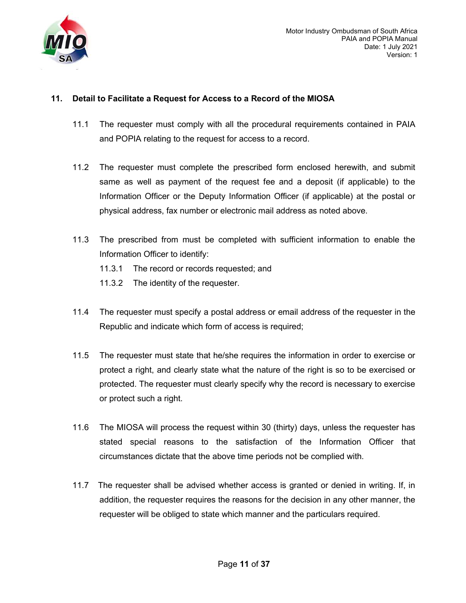

## 11. Detail to Facilitate a Request for Access to a Record of the MIOSA

- 11.1 The requester must comply with all the procedural requirements contained in PAIA and POPIA relating to the request for access to a record.
- 11.2 The requester must complete the prescribed form enclosed herewith, and submit same as well as payment of the request fee and a deposit (if applicable) to the Information Officer or the Deputy Information Officer (if applicable) at the postal or physical address, fax number or electronic mail address as noted above.
- 11.3 The prescribed from must be completed with sufficient information to enable the Information Officer to identify:
	- 11.3.1 The record or records requested; and
	- 11.3.2 The identity of the requester.
- 11.4 The requester must specify a postal address or email address of the requester in the Republic and indicate which form of access is required;
- 11.5 The requester must state that he/she requires the information in order to exercise or protect a right, and clearly state what the nature of the right is so to be exercised or protected. The requester must clearly specify why the record is necessary to exercise or protect such a right.
- 11.6 The MIOSA will process the request within 30 (thirty) days, unless the requester has stated special reasons to the satisfaction of the Information Officer that circumstances dictate that the above time periods not be complied with.
- 11.7 The requester shall be advised whether access is granted or denied in writing. If, in addition, the requester requires the reasons for the decision in any other manner, the requester will be obliged to state which manner and the particulars required.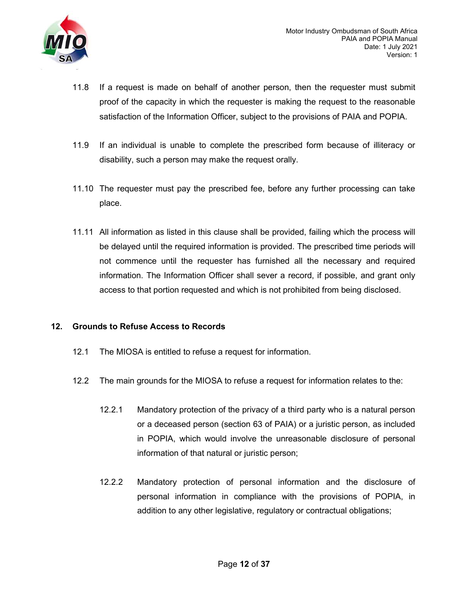

- 11.8 If a request is made on behalf of another person, then the requester must submit proof of the capacity in which the requester is making the request to the reasonable satisfaction of the Information Officer, subject to the provisions of PAIA and POPIA.
- 11.9 If an individual is unable to complete the prescribed form because of illiteracy or disability, such a person may make the request orally.
- 11.10 The requester must pay the prescribed fee, before any further processing can take place.
- 11.11 All information as listed in this clause shall be provided, failing which the process will be delayed until the required information is provided. The prescribed time periods will not commence until the requester has furnished all the necessary and required information. The Information Officer shall sever a record, if possible, and grant only access to that portion requested and which is not prohibited from being disclosed.

### 12. Grounds to Refuse Access to Records

- 12.1 The MIOSA is entitled to refuse a request for information.
- 12.2 The main grounds for the MIOSA to refuse a request for information relates to the:
	- 12.2.1 Mandatory protection of the privacy of a third party who is a natural person or a deceased person (section 63 of PAIA) or a juristic person, as included in POPIA, which would involve the unreasonable disclosure of personal information of that natural or juristic person;
	- 12.2.2 Mandatory protection of personal information and the disclosure of personal information in compliance with the provisions of POPIA, in addition to any other legislative, regulatory or contractual obligations;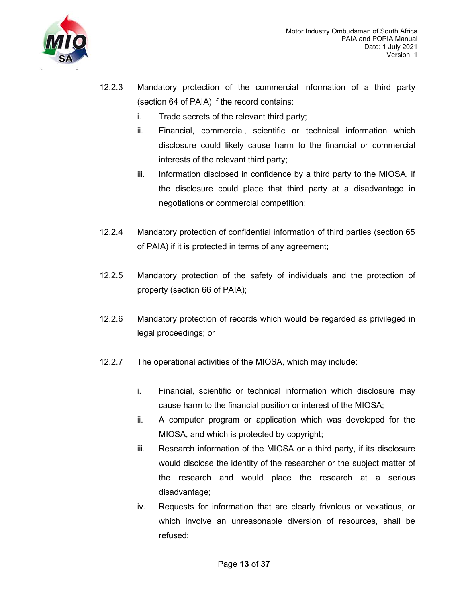

- 12.2.3 Mandatory protection of the commercial information of a third party (section 64 of PAIA) if the record contains:
	- i. Trade secrets of the relevant third party;
	- ii. Financial, commercial, scientific or technical information which disclosure could likely cause harm to the financial or commercial interests of the relevant third party;
	- iii. Information disclosed in confidence by a third party to the MIOSA, if the disclosure could place that third party at a disadvantage in negotiations or commercial competition;
- 12.2.4 Mandatory protection of confidential information of third parties (section 65 of PAIA) if it is protected in terms of any agreement;
- 12.2.5 Mandatory protection of the safety of individuals and the protection of property (section 66 of PAIA);
- 12.2.6 Mandatory protection of records which would be regarded as privileged in legal proceedings; or
- 12.2.7 The operational activities of the MIOSA, which may include:
	- i. Financial, scientific or technical information which disclosure may cause harm to the financial position or interest of the MIOSA;
	- ii. A computer program or application which was developed for the MIOSA, and which is protected by copyright;
	- iii. Research information of the MIOSA or a third party, if its disclosure would disclose the identity of the researcher or the subject matter of the research and would place the research at a serious disadvantage;
	- iv. Requests for information that are clearly frivolous or vexatious, or which involve an unreasonable diversion of resources, shall be refused;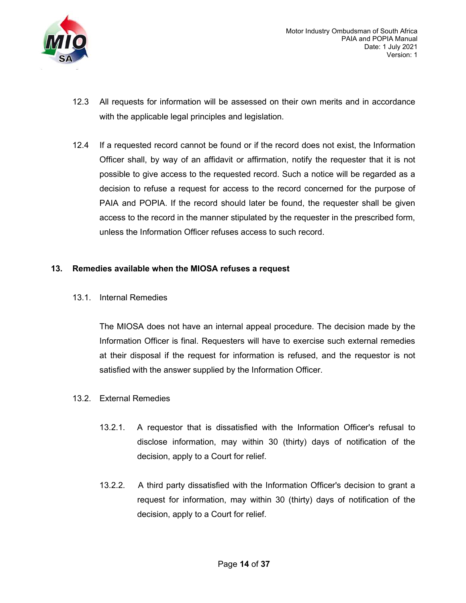

- 12.3 All requests for information will be assessed on their own merits and in accordance with the applicable legal principles and legislation.
- 12.4 If a requested record cannot be found or if the record does not exist, the Information Officer shall, by way of an affidavit or affirmation, notify the requester that it is not possible to give access to the requested record. Such a notice will be regarded as a decision to refuse a request for access to the record concerned for the purpose of PAIA and POPIA. If the record should later be found, the requester shall be given access to the record in the manner stipulated by the requester in the prescribed form, unless the Information Officer refuses access to such record.

### 13. Remedies available when the MIOSA refuses a request

13.1. Internal Remedies

The MIOSA does not have an internal appeal procedure. The decision made by the Information Officer is final. Requesters will have to exercise such external remedies at their disposal if the request for information is refused, and the requestor is not satisfied with the answer supplied by the Information Officer.

- 13.2. External Remedies
	- 13.2.1. A requestor that is dissatisfied with the Information Officer's refusal to disclose information, may within 30 (thirty) days of notification of the decision, apply to a Court for relief.
	- 13.2.2. A third party dissatisfied with the Information Officer's decision to grant a request for information, may within 30 (thirty) days of notification of the decision, apply to a Court for relief.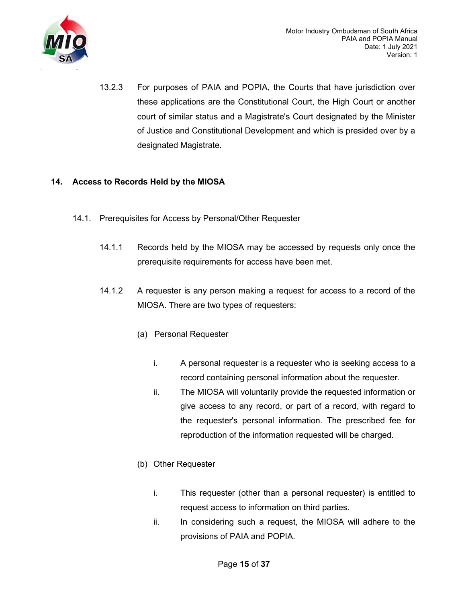

13.2.3 For purposes of PAIA and POPIA, the Courts that have jurisdiction over these applications are the Constitutional Court, the High Court or another court of similar status and a Magistrate's Court designated by the Minister of Justice and Constitutional Development and which is presided over by a designated Magistrate.

## 14. Access to Records Held by the MIOSA

- 14.1. Prerequisites for Access by Personal/Other Requester
	- 14.1.1 Records held by the MIOSA may be accessed by requests only once the prerequisite requirements for access have been met.
	- 14.1.2 A requester is any person making a request for access to a record of the MIOSA. There are two types of requesters:
		- (a) Personal Requester
			- i. A personal requester is a requester who is seeking access to a record containing personal information about the requester.
			- ii. The MIOSA will voluntarily provide the requested information or give access to any record, or part of a record, with regard to the requester's personal information. The prescribed fee for reproduction of the information requested will be charged.
		- (b) Other Requester
			- i. This requester (other than a personal requester) is entitled to request access to information on third parties.
			- ii. In considering such a request, the MIOSA will adhere to the provisions of PAIA and POPIA.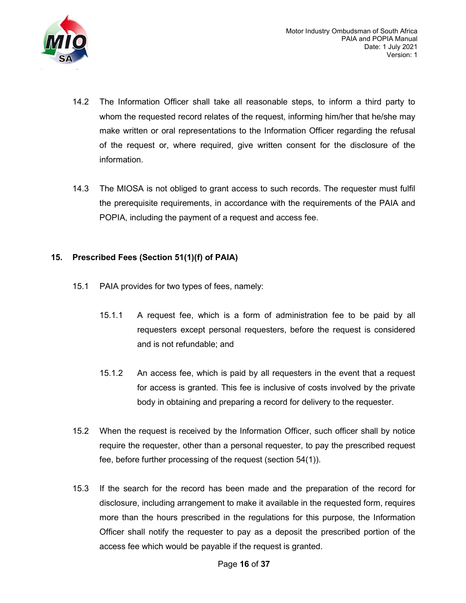

- 14.2 The Information Officer shall take all reasonable steps, to inform a third party to whom the requested record relates of the request, informing him/her that he/she may make written or oral representations to the Information Officer regarding the refusal of the request or, where required, give written consent for the disclosure of the information.
- 14.3 The MIOSA is not obliged to grant access to such records. The requester must fulfil the prerequisite requirements, in accordance with the requirements of the PAIA and POPIA, including the payment of a request and access fee.

## 15. Prescribed Fees (Section 51(1)(f) of PAIA)

- 15.1 PAIA provides for two types of fees, namely:
	- 15.1.1 A request fee, which is a form of administration fee to be paid by all requesters except personal requesters, before the request is considered and is not refundable; and
	- 15.1.2 An access fee, which is paid by all requesters in the event that a request for access is granted. This fee is inclusive of costs involved by the private body in obtaining and preparing a record for delivery to the requester.
- 15.2 When the request is received by the Information Officer, such officer shall by notice require the requester, other than a personal requester, to pay the prescribed request fee, before further processing of the request (section 54(1)).
- 15.3 If the search for the record has been made and the preparation of the record for disclosure, including arrangement to make it available in the requested form, requires more than the hours prescribed in the regulations for this purpose, the Information Officer shall notify the requester to pay as a deposit the prescribed portion of the access fee which would be payable if the request is granted.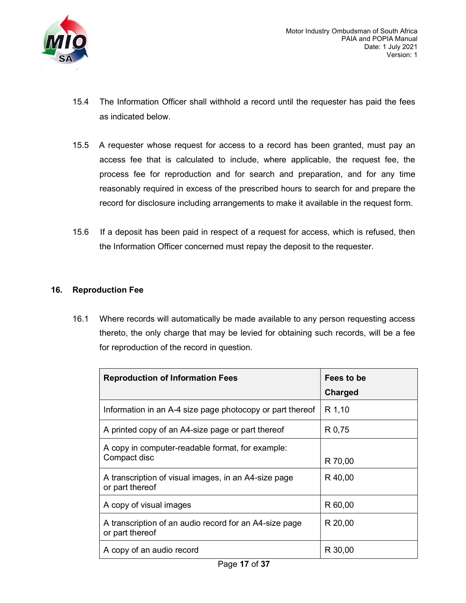

- 15.4 The Information Officer shall withhold a record until the requester has paid the fees as indicated below.
- 15.5 A requester whose request for access to a record has been granted, must pay an access fee that is calculated to include, where applicable, the request fee, the process fee for reproduction and for search and preparation, and for any time reasonably required in excess of the prescribed hours to search for and prepare the record for disclosure including arrangements to make it available in the request form.
- 15.6 If a deposit has been paid in respect of a request for access, which is refused, then the Information Officer concerned must repay the deposit to the requester.

## 16. Reproduction Fee

16.1 Where records will automatically be made available to any person requesting access thereto, the only charge that may be levied for obtaining such records, will be a fee for reproduction of the record in question.

| <b>Reproduction of Information Fees</b>                                   | Fees to be<br>Charged |  |  |  |
|---------------------------------------------------------------------------|-----------------------|--|--|--|
| Information in an A-4 size page photocopy or part thereof                 | R 1,10                |  |  |  |
| A printed copy of an A4-size page or part thereof                         | R 0,75                |  |  |  |
| A copy in computer-readable format, for example:<br>Compact disc          | R 70,00               |  |  |  |
| A transcription of visual images, in an A4-size page<br>or part thereof   | R 40,00               |  |  |  |
| A copy of visual images                                                   | R 60,00               |  |  |  |
| A transcription of an audio record for an A4-size page<br>or part thereof | R 20,00               |  |  |  |
| A copy of an audio record                                                 | R 30,00               |  |  |  |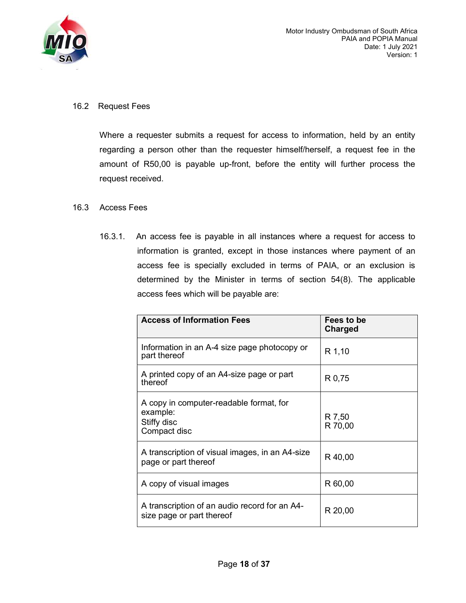

### 16.2 Request Fees

Where a requester submits a request for access to information, held by an entity regarding a person other than the requester himself/herself, a request fee in the amount of R50,00 is payable up-front, before the entity will further process the request received.

### 16.3 Access Fees

16.3.1. An access fee is payable in all instances where a request for access to information is granted, except in those instances where payment of an access fee is specially excluded in terms of PAIA, or an exclusion is determined by the Minister in terms of section 54(8). The applicable access fees which will be payable are:

| <b>Access of Information Fees</b>                                                  | Fees to be<br>Charged |
|------------------------------------------------------------------------------------|-----------------------|
| Information in an A-4 size page photocopy or<br>part thereof                       | R 1,10                |
| A printed copy of an A4-size page or part<br>thereof                               | R 0,75                |
| A copy in computer-readable format, for<br>example:<br>Stiffy disc<br>Compact disc | R 7,50<br>R 70,00     |
| A transcription of visual images, in an A4-size<br>page or part thereof            | R 40,00               |
| A copy of visual images                                                            | R 60,00               |
| A transcription of an audio record for an A4-<br>size page or part thereof         | R 20,00               |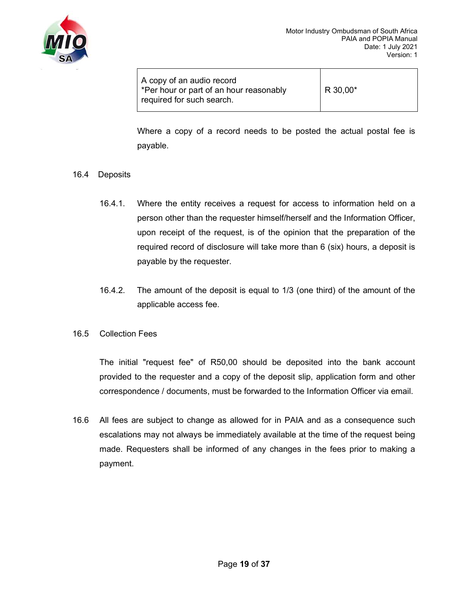

Where a copy of a record needs to be posted the actual postal fee is payable.

### 16.4 Deposits

- 16.4.1. Where the entity receives a request for access to information held on a person other than the requester himself/herself and the Information Officer, upon receipt of the request, is of the opinion that the preparation of the required record of disclosure will take more than 6 (six) hours, a deposit is payable by the requester.
- 16.4.2. The amount of the deposit is equal to 1/3 (one third) of the amount of the applicable access fee.
- 16.5 Collection Fees

The initial "request fee" of R50,00 should be deposited into the bank account provided to the requester and a copy of the deposit slip, application form and other correspondence / documents, must be forwarded to the Information Officer via email.

16.6 All fees are subject to change as allowed for in PAIA and as a consequence such escalations may not always be immediately available at the time of the request being made. Requesters shall be informed of any changes in the fees prior to making a payment.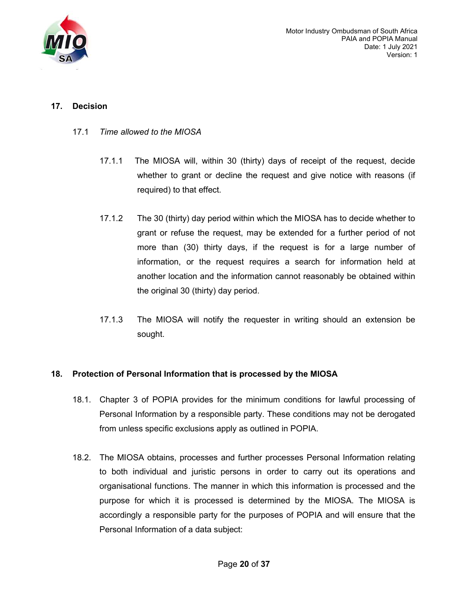

## 17. Decision

- 17.1 Time allowed to the MIOSA
	- 17.1.1 The MIOSA will, within 30 (thirty) days of receipt of the request, decide whether to grant or decline the request and give notice with reasons (if required) to that effect.
	- 17.1.2 The 30 (thirty) day period within which the MIOSA has to decide whether to grant or refuse the request, may be extended for a further period of not more than (30) thirty days, if the request is for a large number of information, or the request requires a search for information held at another location and the information cannot reasonably be obtained within the original 30 (thirty) day period.
	- 17.1.3 The MIOSA will notify the requester in writing should an extension be sought.

## 18. Protection of Personal Information that is processed by the MIOSA

- 18.1. Chapter 3 of POPIA provides for the minimum conditions for lawful processing of Personal Information by a responsible party. These conditions may not be derogated from unless specific exclusions apply as outlined in POPIA.
- 18.2. The MIOSA obtains, processes and further processes Personal Information relating to both individual and juristic persons in order to carry out its operations and organisational functions. The manner in which this information is processed and the purpose for which it is processed is determined by the MIOSA. The MIOSA is accordingly a responsible party for the purposes of POPIA and will ensure that the Personal Information of a data subject: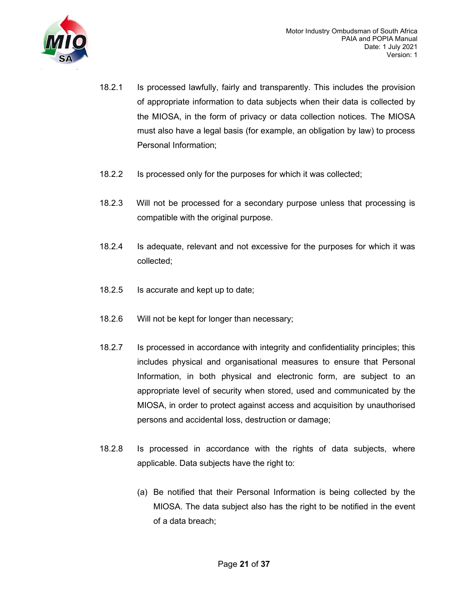

- 18.2.1 Is processed lawfully, fairly and transparently. This includes the provision of appropriate information to data subjects when their data is collected by the MIOSA, in the form of privacy or data collection notices. The MIOSA must also have a legal basis (for example, an obligation by law) to process Personal Information;
- 18.2.2 Is processed only for the purposes for which it was collected;
- 18.2.3 Will not be processed for a secondary purpose unless that processing is compatible with the original purpose.
- 18.2.4 Is adequate, relevant and not excessive for the purposes for which it was collected;
- 18.2.5 Is accurate and kept up to date;
- 18.2.6 Will not be kept for longer than necessary;
- 18.2.7 Is processed in accordance with integrity and confidentiality principles; this includes physical and organisational measures to ensure that Personal Information, in both physical and electronic form, are subject to an appropriate level of security when stored, used and communicated by the MIOSA, in order to protect against access and acquisition by unauthorised persons and accidental loss, destruction or damage;
- 18.2.8 Is processed in accordance with the rights of data subjects, where applicable. Data subjects have the right to:
	- (a) Be notified that their Personal Information is being collected by the MIOSA. The data subject also has the right to be notified in the event of a data breach;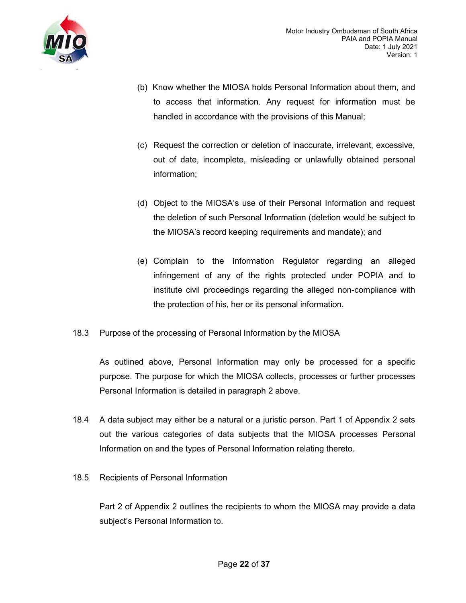

- (b) Know whether the MIOSA holds Personal Information about them, and to access that information. Any request for information must be handled in accordance with the provisions of this Manual;
- (c) Request the correction or deletion of inaccurate, irrelevant, excessive, out of date, incomplete, misleading or unlawfully obtained personal information;
- (d) Object to the MIOSA's use of their Personal Information and request the deletion of such Personal Information (deletion would be subject to the MIOSA's record keeping requirements and mandate); and
- (e) Complain to the Information Regulator regarding an alleged infringement of any of the rights protected under POPIA and to institute civil proceedings regarding the alleged non-compliance with the protection of his, her or its personal information.
- 18.3 Purpose of the processing of Personal Information by the MIOSA

As outlined above, Personal Information may only be processed for a specific purpose. The purpose for which the MIOSA collects, processes or further processes Personal Information is detailed in paragraph 2 above.

- 18.4 A data subject may either be a natural or a juristic person. Part 1 of Appendix 2 sets out the various categories of data subjects that the MIOSA processes Personal Information on and the types of Personal Information relating thereto.
- 18.5 Recipients of Personal Information

Part 2 of Appendix 2 outlines the recipients to whom the MIOSA may provide a data subject's Personal Information to.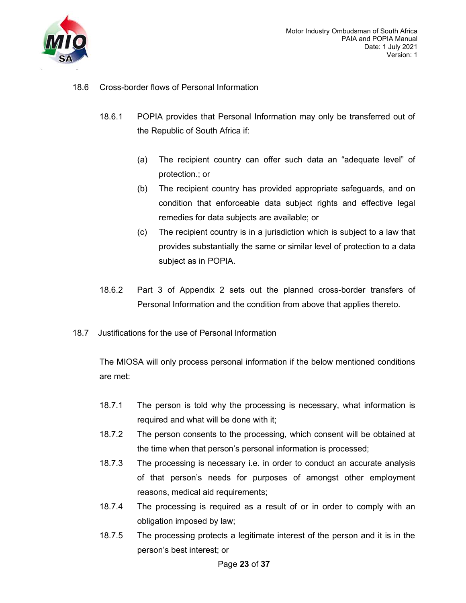

- 18.6 Cross-border flows of Personal Information
	- 18.6.1 POPIA provides that Personal Information may only be transferred out of the Republic of South Africa if:
		- (a) The recipient country can offer such data an "adequate level" of protection.; or
		- (b) The recipient country has provided appropriate safeguards, and on condition that enforceable data subject rights and effective legal remedies for data subjects are available; or
		- (c) The recipient country is in a jurisdiction which is subject to a law that provides substantially the same or similar level of protection to a data subject as in POPIA.
	- 18.6.2 Part 3 of Appendix 2 sets out the planned cross-border transfers of Personal Information and the condition from above that applies thereto.
- 18.7 Justifications for the use of Personal Information

The MIOSA will only process personal information if the below mentioned conditions are met:

- 18.7.1 The person is told why the processing is necessary, what information is required and what will be done with it;
- 18.7.2 The person consents to the processing, which consent will be obtained at the time when that person's personal information is processed;
- 18.7.3 The processing is necessary i.e. in order to conduct an accurate analysis of that person's needs for purposes of amongst other employment reasons, medical aid requirements;
- 18.7.4 The processing is required as a result of or in order to comply with an obligation imposed by law;
- 18.7.5 The processing protects a legitimate interest of the person and it is in the person's best interest; or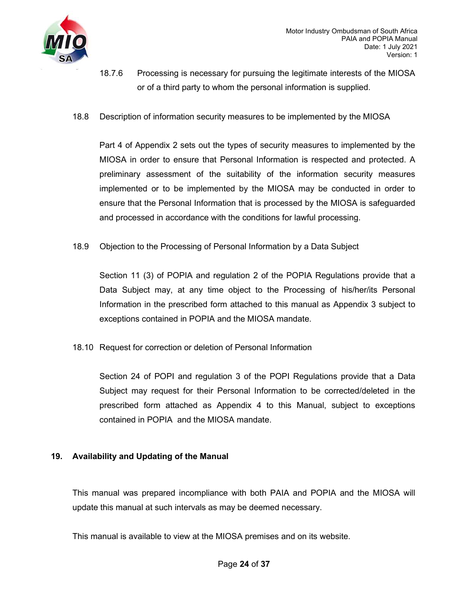

- 18.7.6 Processing is necessary for pursuing the legitimate interests of the MIOSA or of a third party to whom the personal information is supplied.
- 18.8 Description of information security measures to be implemented by the MIOSA

Part 4 of Appendix 2 sets out the types of security measures to implemented by the MIOSA in order to ensure that Personal Information is respected and protected. A preliminary assessment of the suitability of the information security measures implemented or to be implemented by the MIOSA may be conducted in order to ensure that the Personal Information that is processed by the MIOSA is safeguarded and processed in accordance with the conditions for lawful processing.

18.9 Objection to the Processing of Personal Information by a Data Subject

Section 11 (3) of POPIA and regulation 2 of the POPIA Regulations provide that a Data Subject may, at any time object to the Processing of his/her/its Personal Information in the prescribed form attached to this manual as Appendix 3 subject to exceptions contained in POPIA and the MIOSA mandate.

18.10 Request for correction or deletion of Personal Information

Section 24 of POPI and regulation 3 of the POPI Regulations provide that a Data Subject may request for their Personal Information to be corrected/deleted in the prescribed form attached as Appendix 4 to this Manual, subject to exceptions contained in POPIA and the MIOSA mandate.

### 19. Availability and Updating of the Manual

This manual was prepared incompliance with both PAIA and POPIA and the MIOSA will update this manual at such intervals as may be deemed necessary.

This manual is available to view at the MIOSA premises and on its website.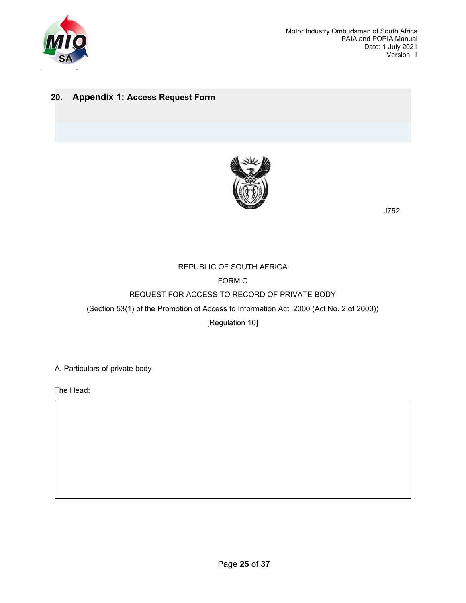

 Motor Industry Ombudsman of South Africa PAIA and POPIA Manual Date: 1 July 2021 Version: 1

## 20. Appendix 1: Access Request Form



J752

## REPUBLIC OF SOUTH AFRICA FORM C REQUEST FOR ACCESS TO RECORD OF PRIVATE BODY (Section 53(1) of the Promotion of Access to Information Act, 2000 (Act No. 2 of 2000)) [Regulation 10]

A. Particulars of private body

The Head: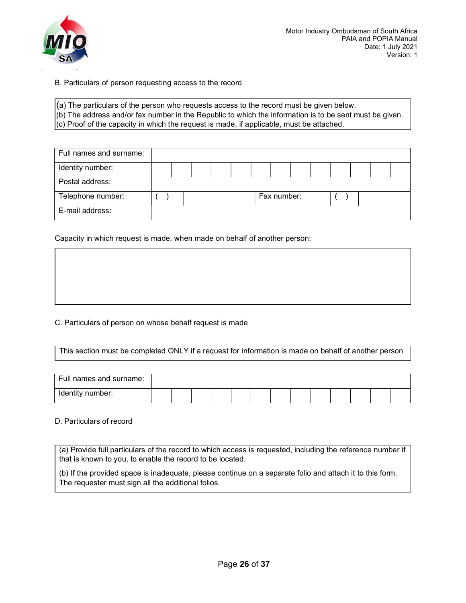

- B. Particulars of person requesting access to the record
- (a) The particulars of the person who requests access to the record must be given below.
- (b) The address and/or fax number in the Republic to which the information is to be sent must be given.
- (c) Proof of the capacity in which the request is made, if applicable, must be attached.

| Full names and surname: |  |  |  |             |  |  |  |
|-------------------------|--|--|--|-------------|--|--|--|
| Identity number:        |  |  |  |             |  |  |  |
| Postal address:         |  |  |  |             |  |  |  |
| Telephone number:       |  |  |  | Fax number: |  |  |  |
| E-mail address:         |  |  |  |             |  |  |  |

Capacity in which request is made, when made on behalf of another person:

C. Particulars of person on whose behalf request is made

This section must be completed ONLY if a request for information is made on behalf of another person

| Full names and surname: |  |  |  |  |  |  |  |
|-------------------------|--|--|--|--|--|--|--|
| Identity number:        |  |  |  |  |  |  |  |

#### D. Particulars of record

(a) Provide full particulars of the record to which access is requested, including the reference number if that is known to you, to enable the record to be located.

(b) If the provided space is inadequate, please continue on a separate folio and attach it to this form. The requester must sign all the additional folios.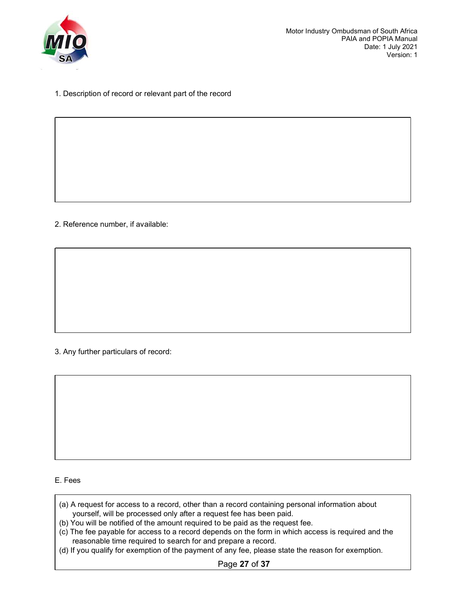

1. Description of record or relevant part of the record

2. Reference number, if available:

3. Any further particulars of record:

#### E. Fees

- (a) A request for access to a record, other than a record containing personal information about yourself, will be processed only after a request fee has been paid.
- (b) You will be notified of the amount required to be paid as the request fee.
- (c) The fee payable for access to a record depends on the form in which access is required and the reasonable time required to search for and prepare a record.
- (d) If you qualify for exemption of the payment of any fee, please state the reason for exemption.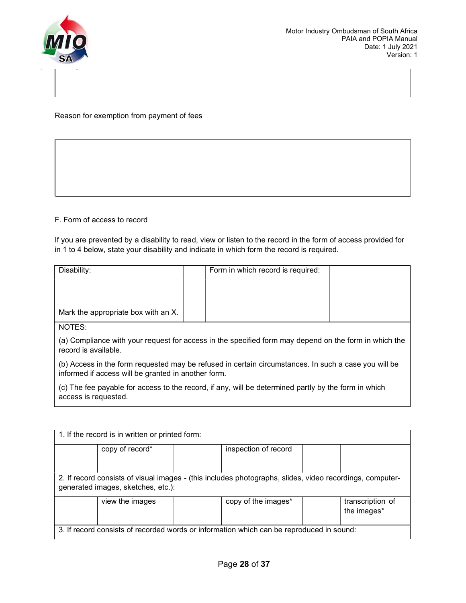

Reason for exemption from payment of fees

### F. Form of access to record

If you are prevented by a disability to read, view or listen to the record in the form of access provided for in 1 to 4 below, state your disability and indicate in which form the record is required.

| Disability:                                                                                                                                                 |  | Form in which record is required: |  |
|-------------------------------------------------------------------------------------------------------------------------------------------------------------|--|-----------------------------------|--|
| Mark the appropriate box with an X.                                                                                                                         |  |                                   |  |
| NOTES:                                                                                                                                                      |  |                                   |  |
| (a) Compliance with your request for access in the specified form may depend on the form in which the<br>record is available.                               |  |                                   |  |
| (b) Access in the form requested may be refused in certain circumstances. In such a case you will be<br>informed if access will be granted in another form. |  |                                   |  |
| (c) The fee payable for access to the record, if any, will be determined partly by the form in which<br>access is requested.                                |  |                                   |  |

|                                                                                                                                                | copy of record* | inspection of record |  |
|------------------------------------------------------------------------------------------------------------------------------------------------|-----------------|----------------------|--|
| 2. If record consists of visual images - (this includes photographs, slides, video recordings, computer-<br>generated images, sketches, etc.): |                 |                      |  |
|                                                                                                                                                |                 |                      |  |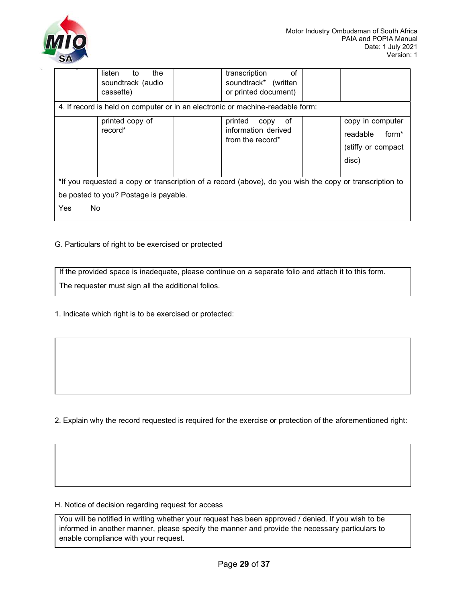

|                                                                                                                                                               | listen<br>the<br>to<br>soundtrack (audio<br>cassette) | transcription<br>of<br>soundtrack* (written<br>or printed document)<br>4. If record is held on computer or in an electronic or machine-readable form: |                                                                                  |
|---------------------------------------------------------------------------------------------------------------------------------------------------------------|-------------------------------------------------------|-------------------------------------------------------------------------------------------------------------------------------------------------------|----------------------------------------------------------------------------------|
|                                                                                                                                                               | printed copy of<br>record*                            | printed<br>0f<br>copy<br>information derived<br>from the record*                                                                                      | copy in computer<br>form <sup>*</sup><br>readable<br>(stiffy or compact<br>disc) |
| *If you requested a copy or transcription of a record (above), do you wish the copy or transcription to<br>be posted to you? Postage is payable.<br>No<br>Yes |                                                       |                                                                                                                                                       |                                                                                  |

### G. Particulars of right to be exercised or protected

If the provided space is inadequate, please continue on a separate folio and attach it to this form. The requester must sign all the additional folios.

1. Indicate which right is to be exercised or protected:

2. Explain why the record requested is required for the exercise or protection of the aforementioned right:

#### H. Notice of decision regarding request for access

You will be notified in writing whether your request has been approved / denied. If you wish to be informed in another manner, please specify the manner and provide the necessary particulars to enable compliance with your request.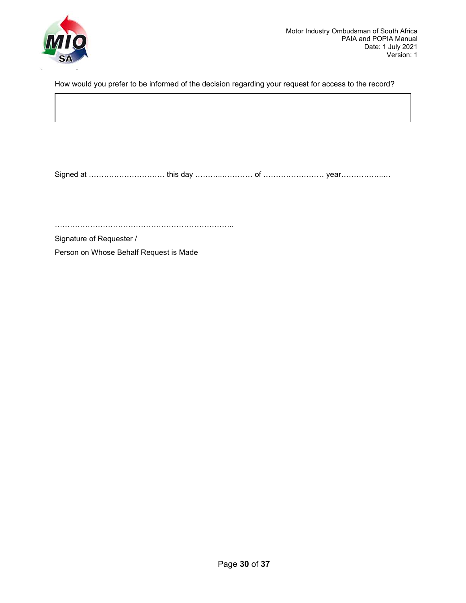

How would you prefer to be informed of the decision regarding your request for access to the record?

Signed at ………………………… this day ………..………… of …………………… year……………..…

……………………………………………………………..

Signature of Requester /

Person on Whose Behalf Request is Made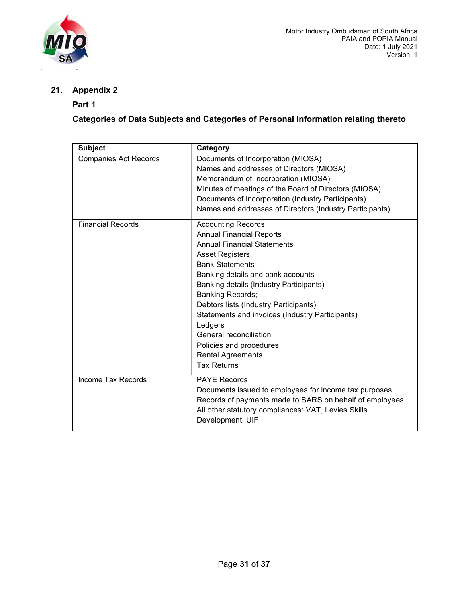

21. Appendix 2

## Part 1

Categories of Data Subjects and Categories of Personal Information relating thereto

| <b>Subject</b>               | Category                                                                       |
|------------------------------|--------------------------------------------------------------------------------|
| <b>Companies Act Records</b> | Documents of Incorporation (MIOSA)<br>Names and addresses of Directors (MIOSA) |
|                              | Memorandum of Incorporation (MIOSA)                                            |
|                              | Minutes of meetings of the Board of Directors (MIOSA)                          |
|                              | Documents of Incorporation (Industry Participants)                             |
|                              | Names and addresses of Directors (Industry Participants)                       |
| <b>Financial Records</b>     | <b>Accounting Records</b>                                                      |
|                              | <b>Annual Financial Reports</b>                                                |
|                              | <b>Annual Financial Statements</b>                                             |
|                              | <b>Asset Registers</b>                                                         |
|                              | <b>Bank Statements</b>                                                         |
|                              | Banking details and bank accounts                                              |
|                              | Banking details (Industry Participants)                                        |
|                              | <b>Banking Records;</b>                                                        |
|                              | Debtors lists (Industry Participants)                                          |
|                              | Statements and invoices (Industry Participants)                                |
|                              | Ledgers                                                                        |
|                              | General reconciliation                                                         |
|                              | Policies and procedures                                                        |
|                              | <b>Rental Agreements</b>                                                       |
|                              | <b>Tax Returns</b>                                                             |
| Income Tax Records           | <b>PAYE Records</b>                                                            |
|                              | Documents issued to employees for income tax purposes                          |
|                              | Records of payments made to SARS on behalf of employees                        |
|                              | All other statutory compliances: VAT, Levies Skills                            |
|                              | Development, UIF                                                               |
|                              |                                                                                |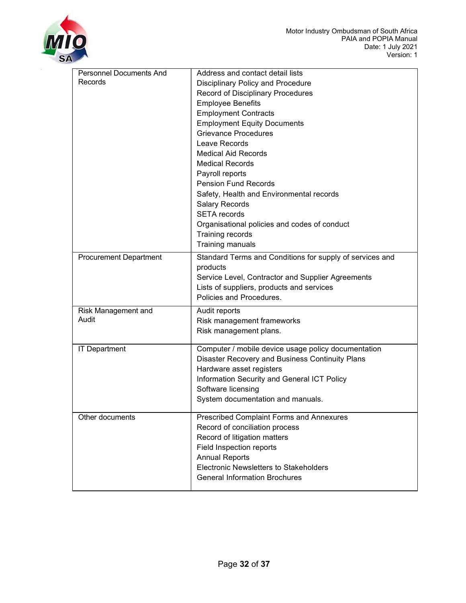

| Personnel Documents And       | Address and contact detail lists                         |
|-------------------------------|----------------------------------------------------------|
| Records                       | <b>Disciplinary Policy and Procedure</b>                 |
|                               | Record of Disciplinary Procedures                        |
|                               | <b>Employee Benefits</b>                                 |
|                               | <b>Employment Contracts</b>                              |
|                               | <b>Employment Equity Documents</b>                       |
|                               | <b>Grievance Procedures</b>                              |
|                               | Leave Records                                            |
|                               | <b>Medical Aid Records</b>                               |
|                               | <b>Medical Records</b>                                   |
|                               | Payroll reports                                          |
|                               | <b>Pension Fund Records</b>                              |
|                               | Safety, Health and Environmental records                 |
|                               | <b>Salary Records</b>                                    |
|                               | <b>SETA</b> records                                      |
|                               | Organisational policies and codes of conduct             |
|                               | Training records                                         |
|                               | Training manuals                                         |
| <b>Procurement Department</b> | Standard Terms and Conditions for supply of services and |
|                               | products                                                 |
|                               | Service Level, Contractor and Supplier Agreements        |
|                               | Lists of suppliers, products and services                |
|                               | Policies and Procedures.                                 |
| Risk Management and           | Audit reports                                            |
| Audit                         | Risk management frameworks                               |
|                               | Risk management plans.                                   |
|                               |                                                          |
| <b>IT Department</b>          | Computer / mobile device usage policy documentation      |
|                               | Disaster Recovery and Business Continuity Plans          |
|                               | Hardware asset registers                                 |
|                               | Information Security and General ICT Policy              |
|                               | Software licensing                                       |
|                               | System documentation and manuals.                        |
| Other documents               | <b>Prescribed Complaint Forms and Annexures</b>          |
|                               | Record of conciliation process                           |
|                               | Record of litigation matters                             |
|                               | Field Inspection reports                                 |
|                               | <b>Annual Reports</b>                                    |
|                               | <b>Electronic Newsletters to Stakeholders</b>            |
|                               | <b>General Information Brochures</b>                     |
|                               |                                                          |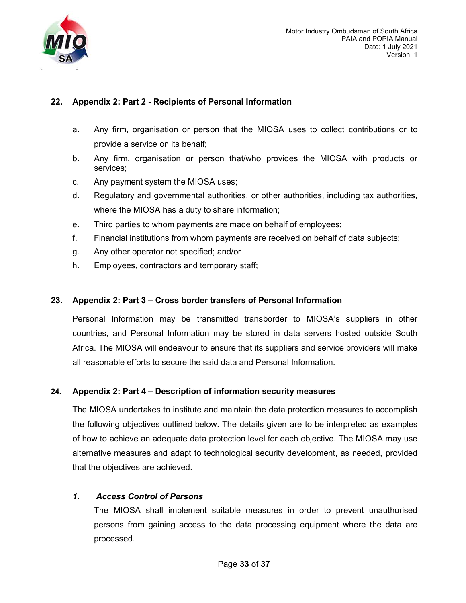

## 22. Appendix 2: Part 2 - Recipients of Personal Information

- a. Any firm, organisation or person that the MIOSA uses to collect contributions or to provide a service on its behalf;
- b. Any firm, organisation or person that/who provides the MIOSA with products or services;
- c. Any payment system the MIOSA uses;
- d. Regulatory and governmental authorities, or other authorities, including tax authorities, where the MIOSA has a duty to share information;
- e. Third parties to whom payments are made on behalf of employees;
- f. Financial institutions from whom payments are received on behalf of data subjects;
- g. Any other operator not specified; and/or
- h. Employees, contractors and temporary staff;

## 23. Appendix 2: Part 3 – Cross border transfers of Personal Information

Personal Information may be transmitted transborder to MIOSA's suppliers in other countries, and Personal Information may be stored in data servers hosted outside South Africa. The MIOSA will endeavour to ensure that its suppliers and service providers will make all reasonable efforts to secure the said data and Personal Information.

## 24. Appendix 2: Part 4 – Description of information security measures

The MIOSA undertakes to institute and maintain the data protection measures to accomplish the following objectives outlined below. The details given are to be interpreted as examples of how to achieve an adequate data protection level for each objective. The MIOSA may use alternative measures and adapt to technological security development, as needed, provided that the objectives are achieved.

## 1. Access Control of Persons

The MIOSA shall implement suitable measures in order to prevent unauthorised persons from gaining access to the data processing equipment where the data are processed.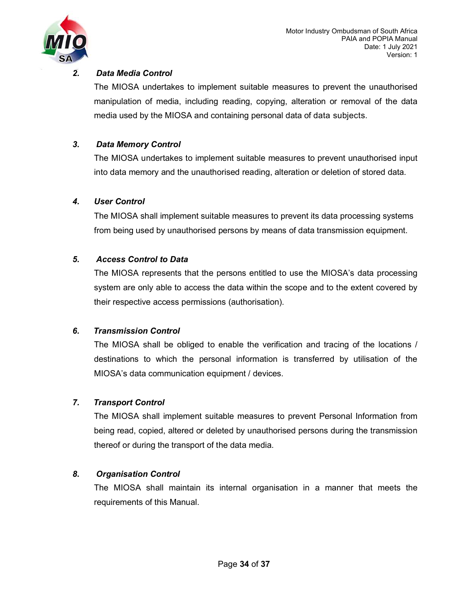

## 2. Data Media Control

The MIOSA undertakes to implement suitable measures to prevent the unauthorised manipulation of media, including reading, copying, alteration or removal of the data media used by the MIOSA and containing personal data of data subjects.

## 3. Data Memory Control

The MIOSA undertakes to implement suitable measures to prevent unauthorised input into data memory and the unauthorised reading, alteration or deletion of stored data.

## 4. User Control

The MIOSA shall implement suitable measures to prevent its data processing systems from being used by unauthorised persons by means of data transmission equipment.

## 5. Access Control to Data

The MIOSA represents that the persons entitled to use the MIOSA's data processing system are only able to access the data within the scope and to the extent covered by their respective access permissions (authorisation).

## 6. Transmission Control

The MIOSA shall be obliged to enable the verification and tracing of the locations / destinations to which the personal information is transferred by utilisation of the MIOSA's data communication equipment / devices.

## 7. Transport Control

The MIOSA shall implement suitable measures to prevent Personal Information from being read, copied, altered or deleted by unauthorised persons during the transmission thereof or during the transport of the data media.

## 8. Organisation Control

The MIOSA shall maintain its internal organisation in a manner that meets the requirements of this Manual.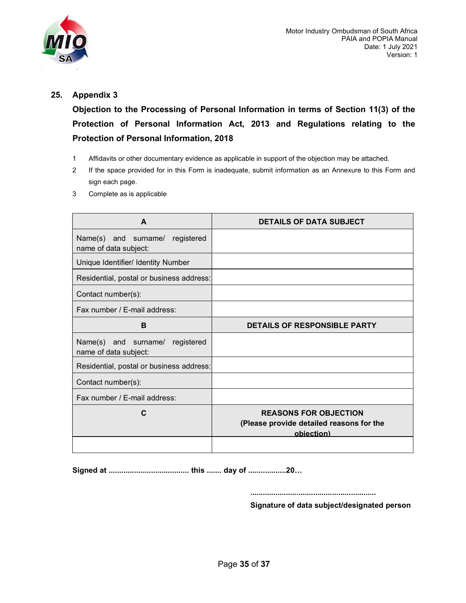

### 25. Appendix 3

Objection to the Processing of Personal Information in terms of Section 11(3) of the Protection of Personal Information Act, 2013 and Regulations relating to the Protection of Personal Information, 2018

- 1 Affidavits or other documentary evidence as applicable in support of the objection may be attached.
- 2 If the space provided for in this Form is inadequate, submit information as an Annexure to this Form and sign each page.
- 3 Complete as is applicable

| A                                                           | <b>DETAILS OF DATA SUBJECT</b>                                                         |
|-------------------------------------------------------------|----------------------------------------------------------------------------------------|
| Name(s) and surname/ registered<br>name of data subject:    |                                                                                        |
| Unique Identifier/ Identity Number                          |                                                                                        |
| Residential, postal or business address:                    |                                                                                        |
| Contact number(s):                                          |                                                                                        |
| Fax number / E-mail address:                                |                                                                                        |
| в                                                           | <b>DETAILS OF RESPONSIBLE PARTY</b>                                                    |
| Name(s) and surname/<br>registered<br>name of data subject: |                                                                                        |
| Residential, postal or business address:                    |                                                                                        |
| Contact number(s):                                          |                                                                                        |
| Fax number / E-mail address:                                |                                                                                        |
| C                                                           | <b>REASONS FOR OBJECTION</b><br>(Please provide detailed reasons for the<br>objection) |

Signed at ...................................... this ....... day of ..................20…

............................................................

Signature of data subject/designated person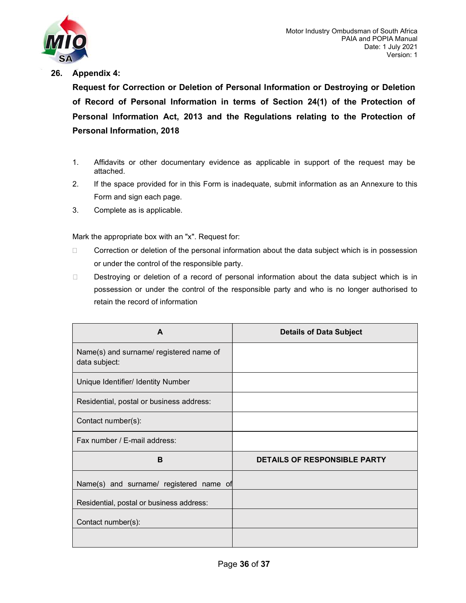

### 26. Appendix 4:

Request for Correction or Deletion of Personal Information or Destroying or Deletion of Record of Personal Information in terms of Section 24(1) of the Protection of Personal Information Act, 2013 and the Regulations relating to the Protection of Personal Information, 2018

- 1. Affidavits or other documentary evidence as applicable in support of the request may be attached.
- 2. If the space provided for in this Form is inadequate, submit information as an Annexure to this Form and sign each page.
- 3. Complete as is applicable.

Mark the appropriate box with an "x". Request for:

- $\Box$  Correction or deletion of the personal information about the data subject which is in possession or under the control of the responsible party.
- Destroying or deletion of a record of personal information about the data subject which is in possession or under the control of the responsible party and who is no longer authorised to retain the record of information

| A                                                        | <b>Details of Data Subject</b>      |
|----------------------------------------------------------|-------------------------------------|
| Name(s) and surname/ registered name of<br>data subject: |                                     |
| Unique Identifier/ Identity Number                       |                                     |
| Residential, postal or business address:                 |                                     |
| Contact number(s):                                       |                                     |
| Fax number / E-mail address:                             |                                     |
| B                                                        | <b>DETAILS OF RESPONSIBLE PARTY</b> |
| Name(s) and surname/ registered name of                  |                                     |
| Residential, postal or business address:                 |                                     |
| Contact number(s):                                       |                                     |
|                                                          |                                     |